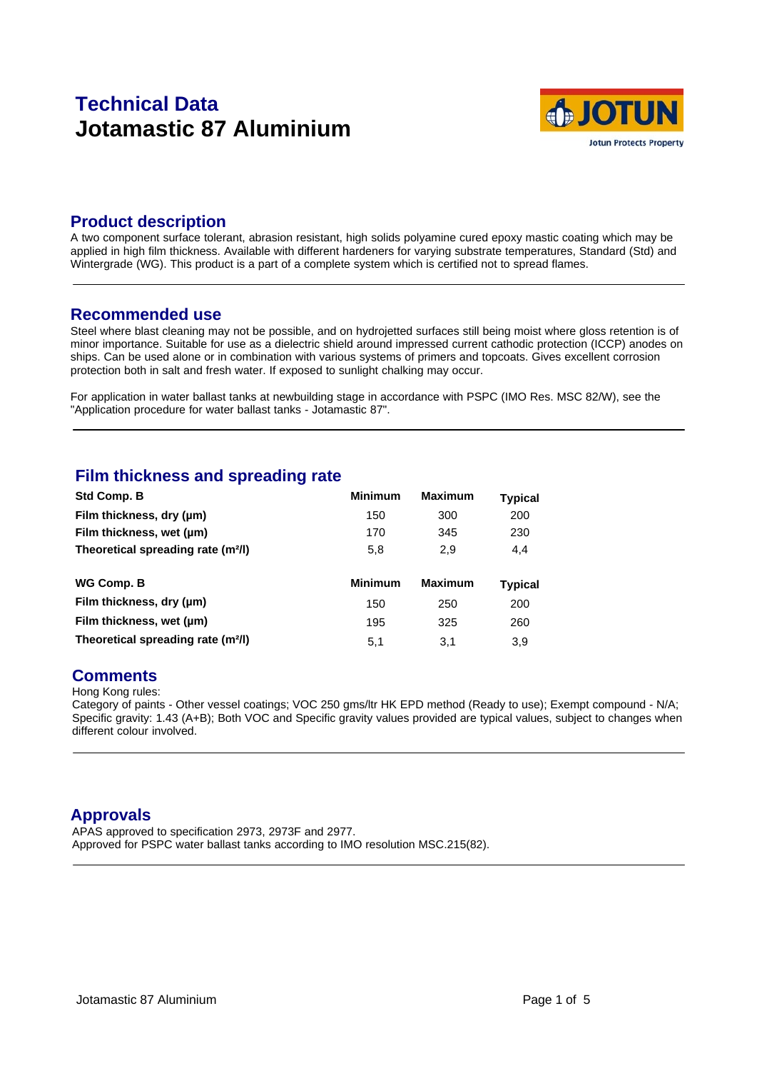# **Technical Data Jotamastic 87 Aluminium**



#### **Product description**

A two component surface tolerant, abrasion resistant, high solids polyamine cured epoxy mastic coating which may be applied in high film thickness. Available with different hardeners for varying substrate temperatures, Standard (Std) and Wintergrade (WG). This product is a part of a complete system which is certified not to spread flames.

#### **Recommended use**

Steel where blast cleaning may not be possible, and on hydrojetted surfaces still being moist where gloss retention is of minor importance. Suitable for use as a dielectric shield around impressed current cathodic protection (ICCP) anodes on ships. Can be used alone or in combination with various systems of primers and topcoats. Gives excellent corrosion protection both in salt and fresh water. If exposed to sunlight chalking may occur.

For application in water ballast tanks at newbuilding stage in accordance with PSPC (IMO Res. MSC 82/W), see the "Application procedure for water ballast tanks - Jotamastic 87".

### **Film thickness and spreading rate**

| Std Comp. B                                    | <b>Minimum</b> | <b>Maximum</b> | <b>Typical</b> |  |
|------------------------------------------------|----------------|----------------|----------------|--|
| Film thickness, dry (um)                       | 150            | 300            | 200            |  |
| Film thickness, wet (µm)                       | 170            | 345            | 230            |  |
| Theoretical spreading rate (m <sup>2</sup> /l) | 5,8            | 2,9            | 4.4            |  |
|                                                |                |                |                |  |
| WG Comp. B                                     | <b>Minimum</b> | <b>Maximum</b> | Typical        |  |
| Film thickness, dry (µm)                       | 150            | 250            | 200            |  |
| Film thickness, wet (µm)                       | 195            | 325            | 260            |  |
|                                                |                |                |                |  |

### **Comments**

Hong Kong rules:

Category of paints - Other vessel coatings; VOC 250 gms/ltr HK EPD method (Ready to use); Exempt compound - N/A; Specific gravity: 1.43 (A+B); Both VOC and Specific gravity values provided are typical values, subject to changes when different colour involved.

### **Approvals**

APAS approved to specification 2973, 2973F and 2977. Approved for PSPC water ballast tanks according to IMO resolution MSC.215(82).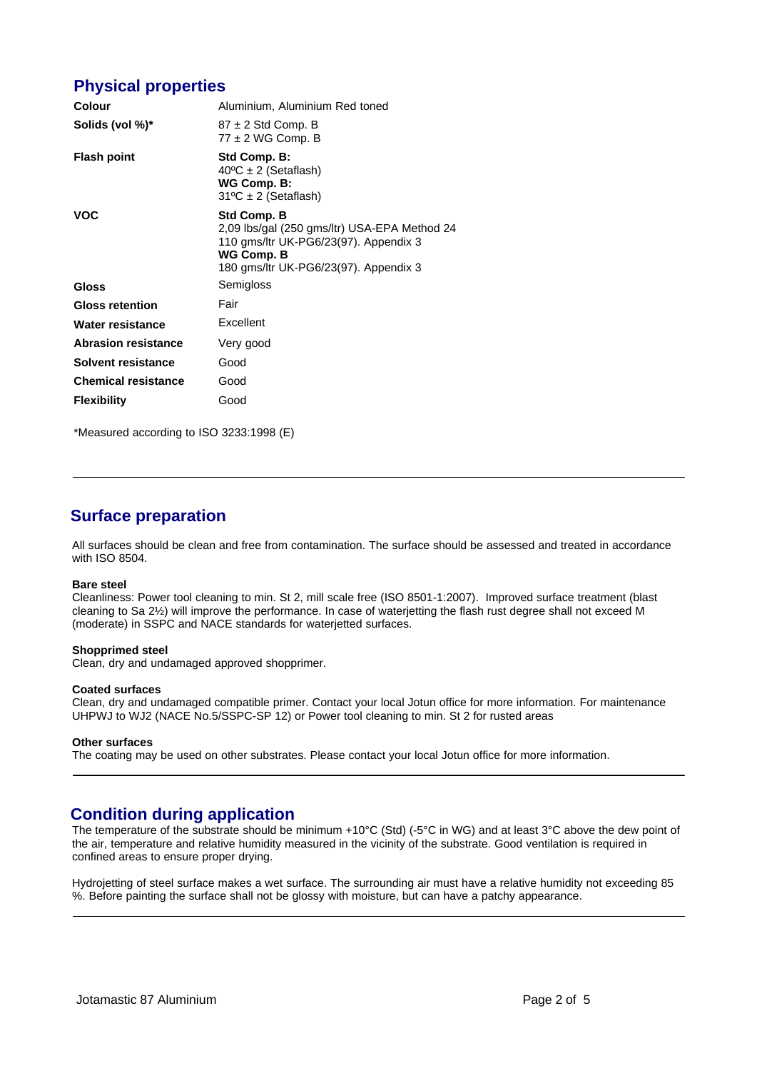### **Physical properties**

| Colour                     | Aluminium, Aluminium Red toned                                                                                                                              |  |  |
|----------------------------|-------------------------------------------------------------------------------------------------------------------------------------------------------------|--|--|
| Solids (vol %)*            | $87 \pm 2$ Std Comp. B<br>$77 \pm 2$ WG Comp. B                                                                                                             |  |  |
| <b>Flash point</b>         | Std Comp. B:<br>$40^{\circ}$ C ± 2 (Setaflash)<br>WG Comp. B:<br>$31^{\circ}C \pm 2$ (Setaflash)                                                            |  |  |
| <b>VOC</b>                 | Std Comp. B<br>2,09 lbs/gal (250 gms/ltr) USA-EPA Method 24<br>110 gms/ltr UK-PG6/23(97). Appendix 3<br>WG Comp. B<br>180 gms/ltr UK-PG6/23(97). Appendix 3 |  |  |
| Gloss                      | Semigloss                                                                                                                                                   |  |  |
| <b>Gloss retention</b>     | Fair                                                                                                                                                        |  |  |
| Water resistance           | Excellent                                                                                                                                                   |  |  |
| <b>Abrasion resistance</b> | Very good                                                                                                                                                   |  |  |
| Solvent resistance         | Good                                                                                                                                                        |  |  |
| <b>Chemical resistance</b> | Good                                                                                                                                                        |  |  |
| <b>Flexibility</b>         | Good                                                                                                                                                        |  |  |

\*Measured according to ISO 3233:1998 (E)

## **Surface preparation**

All surfaces should be clean and free from contamination. The surface should be assessed and treated in accordance with ISO 8504.

#### **Bare steel**

Cleanliness: Power tool cleaning to min. St 2, mill scale free (ISO 8501-1:2007). Improved surface treatment (blast cleaning to Sa 2½) will improve the performance. In case of waterjetting the flash rust degree shall not exceed M (moderate) in SSPC and NACE standards for waterjetted surfaces.

#### **Shopprimed steel**

Clean, dry and undamaged approved shopprimer.

#### **Coated surfaces**

Clean, dry and undamaged compatible primer. Contact your local Jotun office for more information. For maintenance UHPWJ to WJ2 (NACE No.5/SSPC-SP 12) or Power tool cleaning to min. St 2 for rusted areas

#### **Other surfaces**

The coating may be used on other substrates. Please contact your local Jotun office for more information.

### **Condition during application**

The temperature of the substrate should be minimum +10°C (Std) (-5°C in WG) and at least 3°C above the dew point of the air, temperature and relative humidity measured in the vicinity of the substrate. Good ventilation is required in confined areas to ensure proper drying.

Hydrojetting of steel surface makes a wet surface. The surrounding air must have a relative humidity not exceeding 85 %. Before painting the surface shall not be glossy with moisture, but can have a patchy appearance.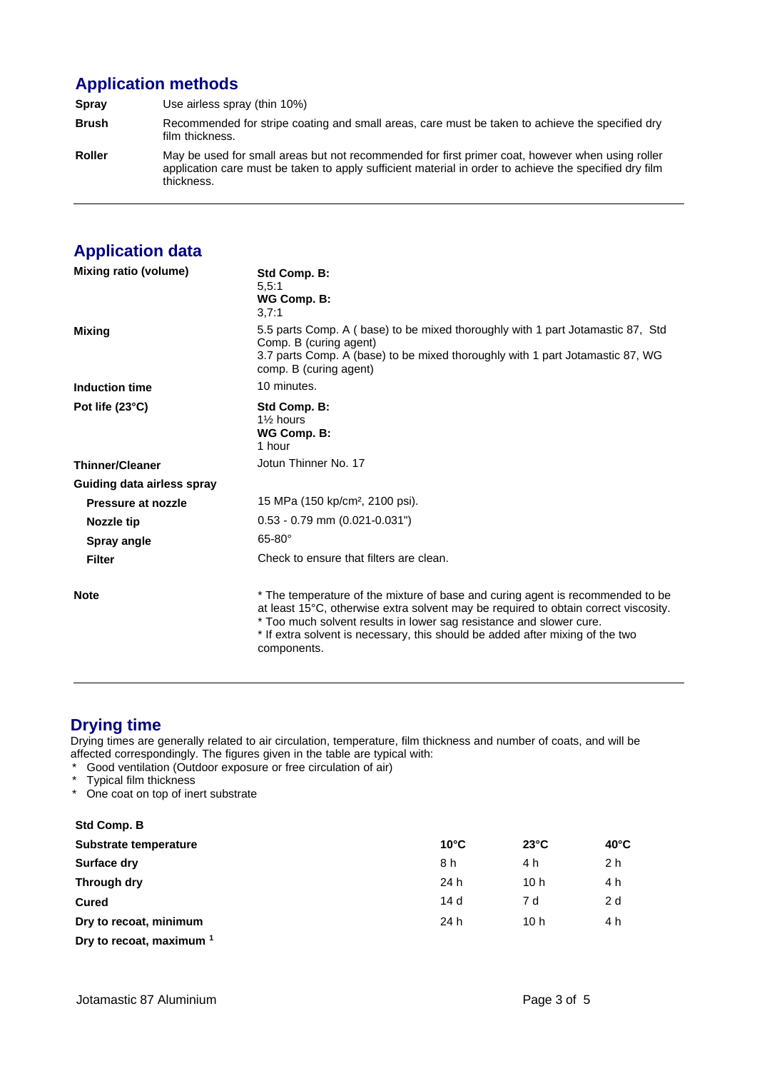# **Application methods**

**Spray** Use airless spray (thin 10%) **Brush** Recommended for stripe coating and small areas, care must be taken to achieve the specified dry film thickness. **Roller** May be used for small areas but not recommended for first primer coat, however when using roller application care must be taken to apply sufficient material in order to achieve the specified dry film thickness.

# **Application data**

| Mixing ratio (volume)      | Std Comp. B:<br>5,5:1<br>WG Comp. B:<br>3,7:1                                                                                                                                                                                                                                                                                                |
|----------------------------|----------------------------------------------------------------------------------------------------------------------------------------------------------------------------------------------------------------------------------------------------------------------------------------------------------------------------------------------|
| <b>Mixing</b>              | 5.5 parts Comp. A (base) to be mixed thoroughly with 1 part Jotamastic 87, Std<br>Comp. B (curing agent)<br>3.7 parts Comp. A (base) to be mixed thoroughly with 1 part Jotamastic 87, WG<br>comp. B (curing agent)                                                                                                                          |
| Induction time             | 10 minutes.                                                                                                                                                                                                                                                                                                                                  |
| Pot life (23°C)            | Std Comp. B:<br>1% hours<br>WG Comp. B:<br>1 hour                                                                                                                                                                                                                                                                                            |
| <b>Thinner/Cleaner</b>     | Jotun Thinner No. 17                                                                                                                                                                                                                                                                                                                         |
| Guiding data airless spray |                                                                                                                                                                                                                                                                                                                                              |
| Pressure at nozzle         | 15 MPa (150 kp/cm <sup>2</sup> , 2100 psi).                                                                                                                                                                                                                                                                                                  |
| Nozzle tip                 | $0.53 - 0.79$ mm $(0.021 - 0.031")$                                                                                                                                                                                                                                                                                                          |
| Spray angle                | $65-80^\circ$                                                                                                                                                                                                                                                                                                                                |
| <b>Filter</b>              | Check to ensure that filters are clean.                                                                                                                                                                                                                                                                                                      |
| <b>Note</b>                | * The temperature of the mixture of base and curing agent is recommended to be<br>at least 15°C, otherwise extra solvent may be required to obtain correct viscosity.<br>* Too much solvent results in lower sag resistance and slower cure.<br>* If extra solvent is necessary, this should be added after mixing of the two<br>components. |

# **Drying time**

Drying times are generally related to air circulation, temperature, film thickness and number of coats, and will be affected correspondingly. The figures given in the table are typical with:

- \* Good ventilation (Outdoor exposure or free circulation of air)
- Typical film thickness
- \* One coat on top of inert substrate

| Std Comp. B                         |                |                 |                |  |
|-------------------------------------|----------------|-----------------|----------------|--|
| Substrate temperature               | $10^{\circ}$ C | $23^{\circ}$ C  | $40^{\circ}$ C |  |
| <b>Surface dry</b>                  | 8 h            | 4 h             | 2 <sub>h</sub> |  |
| Through dry                         | 24 h           | 10 h            | 4 h            |  |
| <b>Cured</b>                        | 14d            | 7 d             | 2 d            |  |
| Dry to recoat, minimum              | 24 h           | 10 <sub>h</sub> | 4 h            |  |
| Dry to recoat, maximum <sup>1</sup> |                |                 |                |  |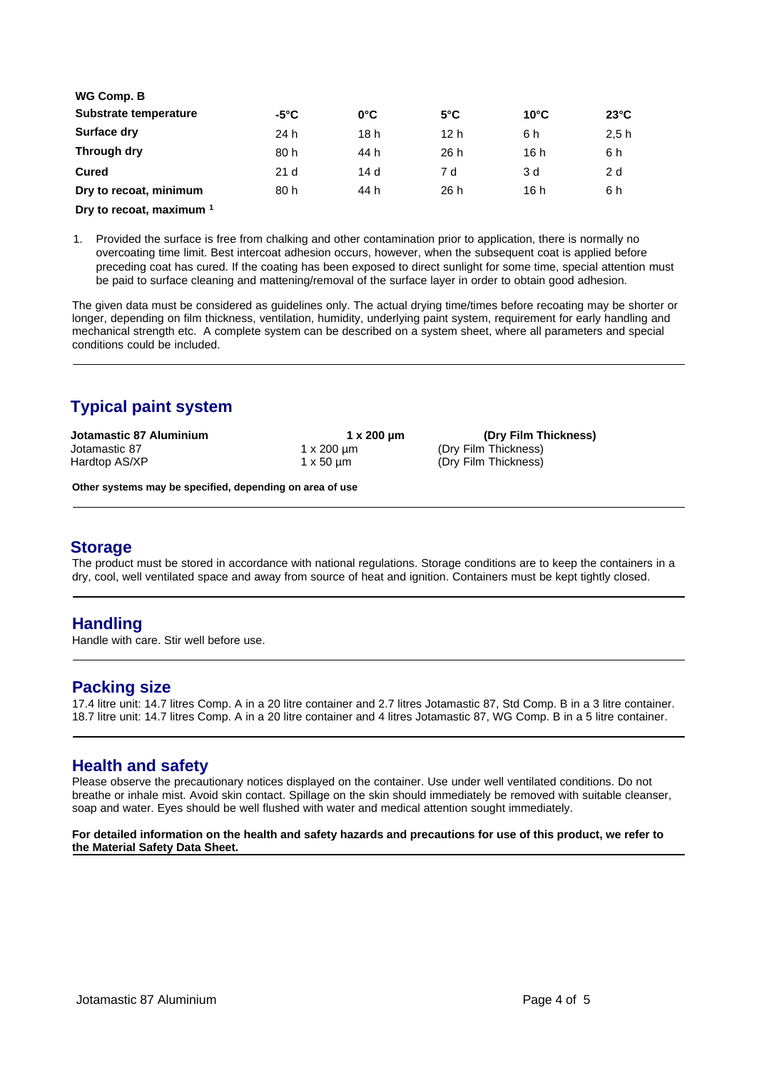| WG Comp. B               |                 |               |               |                |                |  |
|--------------------------|-----------------|---------------|---------------|----------------|----------------|--|
| Substrate temperature    | $-5^{\circ}$ C  | $0^{\circ}$ C | $5^{\circ}$ C | $10^{\circ}$ C | $23^{\circ}$ C |  |
| Surface dry              | 24 h            | 18 h          | 12 h          | 6 h            | 2.5h           |  |
| Through dry              | 80 h            | 44 h          | 26 h          | 16h            | 6 h            |  |
| Cured                    | 21 <sub>d</sub> | 14 d          | 7 d           | 3 d            | 2 d            |  |
| Dry to recoat, minimum   | 80 h            | 44 h          | 26 h          | 16 h           | 6 h            |  |
| Drv to recoat, maximum 1 |                 |               |               |                |                |  |

1. Provided the surface is free from chalking and other contamination prior to application, there is normally no overcoating time limit. Best intercoat adhesion occurs, however, when the subsequent coat is applied before preceding coat has cured. If the coating has been exposed to direct sunlight for some time, special attention must be paid to surface cleaning and mattening/removal of the surface layer in order to obtain good adhesion.

The given data must be considered as guidelines only. The actual drying time/times before recoating may be shorter or longer, depending on film thickness, ventilation, humidity, underlying paint system, requirement for early handling and mechanical strength etc. A complete system can be described on a system sheet, where all parameters and special conditions could be included.

# **Typical paint system**

| Jotamastic 87 Aluminium | 1 x 200 µm          | (Dry Film Thickness) |
|-------------------------|---------------------|----------------------|
| Jotamastic 87           | 1 x 200 µm          | (Dry Film Thickness) |
| Hardtop AS/XP           | $1 \times 50 \mu m$ | (Dry Film Thickness) |

**Other systems may be specified, depending on area of use**

### **Storage**

The product must be stored in accordance with national regulations. Storage conditions are to keep the containers in a dry, cool, well ventilated space and away from source of heat and ignition. Containers must be kept tightly closed.

### **Handling**

Handle with care. Stir well before use.

### **Packing size**

17.4 litre unit: 14.7 litres Comp. A in a 20 litre container and 2.7 litres Jotamastic 87, Std Comp. B in a 3 litre container. 18.7 litre unit: 14.7 litres Comp. A in a 20 litre container and 4 litres Jotamastic 87, WG Comp. B in a 5 litre container.

### **Health and safety**

Please observe the precautionary notices displayed on the container. Use under well ventilated conditions. Do not breathe or inhale mist. Avoid skin contact. Spillage on the skin should immediately be removed with suitable cleanser, soap and water. Eyes should be well flushed with water and medical attention sought immediately.

#### **For detailed information on the health and safety hazards and precautions for use of this product, we refer to the Material Safety Data Sheet.**